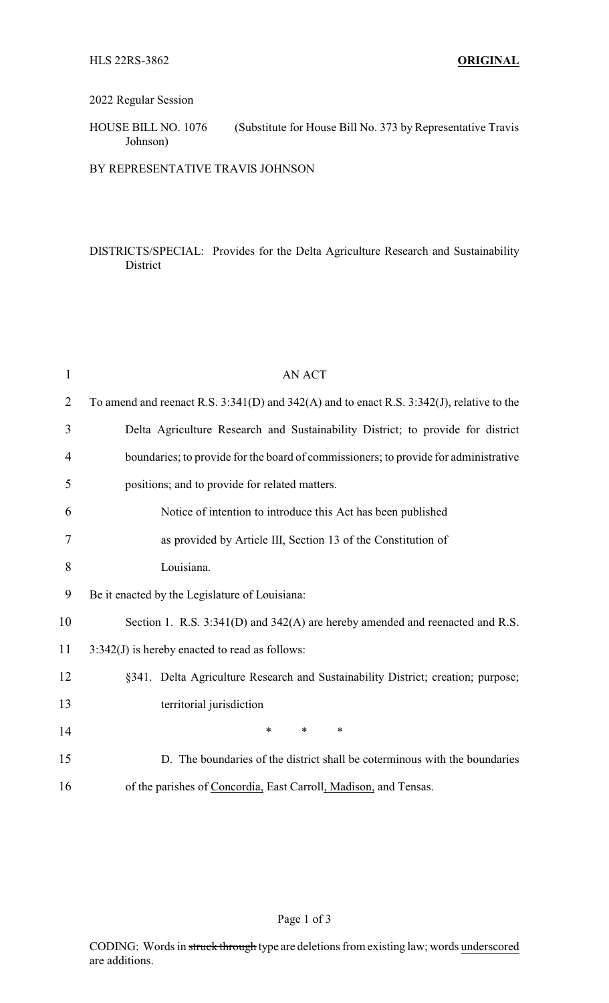#### 2022 Regular Session

# HOUSE BILL NO. 1076 (Substitute for House Bill No. 373 by Representative Travis Johnson)

## BY REPRESENTATIVE TRAVIS JOHNSON

## DISTRICTS/SPECIAL: Provides for the Delta Agriculture Research and Sustainability District

| $\mathbf{1}$   | <b>AN ACT</b>                                                                                    |  |
|----------------|--------------------------------------------------------------------------------------------------|--|
| $\overline{2}$ | To amend and reenact R.S. $3:341(D)$ and $342(A)$ and to enact R.S. $3:342(J)$ , relative to the |  |
| 3              | Delta Agriculture Research and Sustainability District; to provide for district                  |  |
| 4              | boundaries; to provide for the board of commissioners; to provide for administrative             |  |
| 5              | positions; and to provide for related matters.                                                   |  |
| 6              | Notice of intention to introduce this Act has been published                                     |  |
| 7              | as provided by Article III, Section 13 of the Constitution of                                    |  |
| 8              | Louisiana.                                                                                       |  |
| 9              | Be it enacted by the Legislature of Louisiana:                                                   |  |
| 10             | Section 1. R.S. 3:341(D) and 342(A) are hereby amended and reenacted and R.S.                    |  |
| 11             | $3:342(J)$ is hereby enacted to read as follows:                                                 |  |
| 12             | §341. Delta Agriculture Research and Sustainability District; creation; purpose;                 |  |
| 13             | territorial jurisdiction                                                                         |  |
| 14             | $\ast$<br>$\ast$<br>*                                                                            |  |
| 15             | D. The boundaries of the district shall be coterminous with the boundaries                       |  |
| 16             | of the parishes of Concordia, East Carroll, Madison, and Tensas.                                 |  |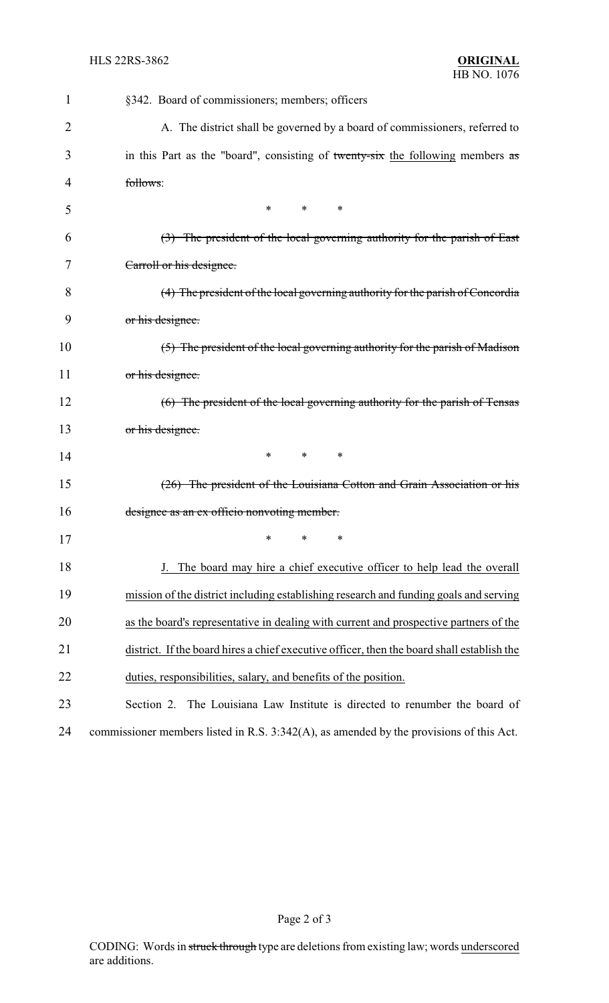| 1  | §342. Board of commissioners; members; officers                                            |  |  |
|----|--------------------------------------------------------------------------------------------|--|--|
| 2  | A. The district shall be governed by a board of commissioners, referred to                 |  |  |
| 3  | in this Part as the "board", consisting of twenty-six the following members as             |  |  |
| 4  | follows:                                                                                   |  |  |
| 5  | *<br>*<br>$\ast$                                                                           |  |  |
| 6  | $(3)$ The president of the local governing authority for the parish of East                |  |  |
| 7  | Carroll or his designee.                                                                   |  |  |
| 8  | (4) The president of the local governing authority for the parish of Concordia             |  |  |
| 9  | or his designee.                                                                           |  |  |
| 10 | (5) The president of the local governing authority for the parish of Madison               |  |  |
| 11 | or his designee.                                                                           |  |  |
| 12 | (6) The president of the local governing authority for the parish of Tensas                |  |  |
| 13 | or his designee.                                                                           |  |  |
| 14 | *<br>$\ast$<br>∗                                                                           |  |  |
| 15 | (26) The president of the Louisiana Cotton and Grain Association or his                    |  |  |
| 16 | designee as an ex officio nonvoting member.                                                |  |  |
| 17 | *<br>*<br>$\ast$                                                                           |  |  |
| 18 | The board may hire a chief executive officer to help lead the overall                      |  |  |
| 19 | mission of the district including establishing research and funding goals and serving      |  |  |
| 20 | as the board's representative in dealing with current and prospective partners of the      |  |  |
| 21 | district. If the board hires a chief executive officer, then the board shall establish the |  |  |
| 22 | duties, responsibilities, salary, and benefits of the position.                            |  |  |
| 23 | The Louisiana Law Institute is directed to renumber the board of<br>Section 2.             |  |  |
| 24 | commissioner members listed in R.S. 3:342(A), as amended by the provisions of this Act.    |  |  |